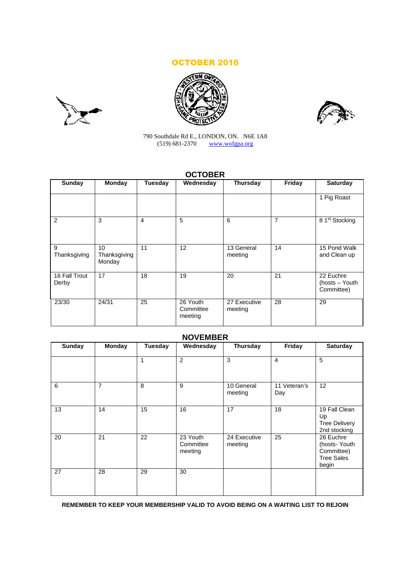# OCTOBER 2016







790 Southdale Rd E., LONDON, ON. N6E 1A8 (519) 681-2370 www.wofgpa.org

# **OCTOBER**

| <b>Sunday</b>          | <b>Monday</b>                | <b>Tuesday</b> | Wednesday                        | <b>Thursday</b>         | Friday | <b>Saturday</b>                           |
|------------------------|------------------------------|----------------|----------------------------------|-------------------------|--------|-------------------------------------------|
|                        |                              |                |                                  |                         |        | 1 Pig Roast                               |
| 2                      | 3                            | $\overline{4}$ | 5                                | 6                       | 7      | 8 1st Stocking                            |
| 9<br>Thanksgiving      | 10<br>Thanksgiving<br>Monday | 11             | 12                               | 13 General<br>meeting   | 14     | 15 Pond Walk<br>and Clean up              |
| 16 Fall Trout<br>Derby | 17                           | 18             | 19                               | 20                      | 21     | 22 Euchre<br>(hosts - Youth<br>Committee) |
| 23/30                  | 24/31                        | 25             | 26 Youth<br>Committee<br>meeting | 27 Executive<br>meeting | 28     | 29                                        |

# **NOVEMBER**

| <b>Sunday</b> | <b>Monday</b>  | <b>Tuesday</b> | Wednesday                        | <b>Thursday</b>         | Friday              | <b>Saturday</b>                                                       |
|---------------|----------------|----------------|----------------------------------|-------------------------|---------------------|-----------------------------------------------------------------------|
|               |                |                | $\overline{2}$                   | 3                       | 4                   | 5                                                                     |
| 6             | $\overline{7}$ | 8              | 9                                | 10 General<br>meeting   | 11 Veteran's<br>Day | 12                                                                    |
| 13            | 14             | 15             | 16                               | 17                      | 18                  | 19 Fall Clean<br>Up<br><b>Tree Delivery</b><br>2nd stocking           |
| 20            | 21             | 22             | 23 Youth<br>Committee<br>meeting | 24 Executive<br>meeting | 25                  | 26 Euchre<br>(hosts-Youth<br>Committee)<br><b>Tree Sales</b><br>begin |
| 27            | 28             | 29             | 30                               |                         |                     |                                                                       |

**REMEMBER TO KEEP YOUR MEMBERSHIP VALID TO AVOID BEING ON A WAITING LIST TO REJOIN**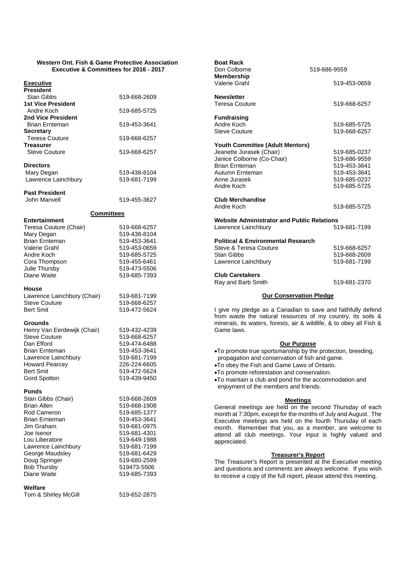#### **Western Ont. Fish & Game Protective Association Executive & Committees for 2016 - 2017**

| <b>President</b>                            |                              |
|---------------------------------------------|------------------------------|
| Stan Gibbs                                  | 519-668-2609                 |
| <b>1st Vice President</b><br>Andre Koch     | 519-685-5725                 |
| 2nd Vice President<br><b>Brian Ernteman</b> | 519-453-3641                 |
| <b>Secretary</b>                            |                              |
| Teresa Couture<br>Treasurer                 | 519-668-6257                 |
| <b>Steve Couture</b>                        | 519-668-6257                 |
| <b>Directors</b>                            |                              |
| Mary Degan<br>Lawrence Lainchbury           | 519-438-8104<br>519-681-7199 |
| <b>Past President</b><br>John Manvell       | 519-455-3627                 |
| <b>Committees</b>                           |                              |
| Entertainment                               |                              |
| Teresa Couture (Chair)<br>Mary Degan        | 519-668-6257<br>519-438-8104 |
| <b>Brian Ernteman</b>                       | 519-453-3641                 |
| Valerie Grahl                               | 519-453-0659                 |
| Andre Koch<br>Cora Thompson                 | 519-685-5725<br>519-455-6461 |
| Julie Thursby                               | 519-473-5506                 |
| Diane Waite                                 | 519-685-7393                 |
| House                                       |                              |
| Lawrence Lainchbury (Chair)                 | 519-681-7199                 |
|                                             |                              |
| Steve Couture<br><b>Bert Smit</b>           | 519-668-6257<br>519-472-5624 |
| Grounds                                     |                              |
| Henry Van Eerdewijk (Chair)                 | 519-432-4239                 |
| <b>Steve Couture</b><br>Dan Efford          | 519-668-6257<br>519-474-6488 |
| <b>Brian Ernteman</b>                       | 519-453-3641                 |
| Lawrence Lainchbury                         | 519-681-7199                 |
| <b>Howard Pearcey</b><br><b>Bert Smit</b>   | 226-224-6605<br>519-472-5624 |
| Gord Spotton                                | 519-439-9450                 |
| Ponds                                       |                              |
| Stan Gibbs (Chair)<br><b>Brian Allen</b>    | 519-668-2609                 |
| Rod Cameron                                 | 519-668-1908<br>519-685-1377 |
| <b>Brian Ernteman</b>                       | 519-453-3641                 |
| Jim Graham<br>Joe Isenor                    | 519-681-0975<br>519-681-4301 |
| Lou Liberatore                              | 519-649-1988                 |
| Lawrence Lainchbury                         | 519-681-7199                 |
| George Maudsley<br>Doug Springer            | 519-681-6429<br>519-680-2599 |
| <b>Bob Thursby</b><br>Diane Waite           | 519473-5506<br>519-685-7393  |

## **Welfare**

Tom & Shirley McGill 519-652-2875

| <b>Boat Rack</b><br>Don Colborne<br><b>Membership</b>    | 519-686-9559                 |  |  |  |
|----------------------------------------------------------|------------------------------|--|--|--|
| Valerie Grahl                                            | 519-453-0659                 |  |  |  |
| <b>Newsletter</b><br><b>Teresa Couture</b>               | 519-668-6257                 |  |  |  |
| <b>Fundraising</b><br>Andre Koch<br><b>Steve Couture</b> | 519-685-5725<br>519-668-6257 |  |  |  |
| Youth Committee (Adult Mentors)                          |                              |  |  |  |
| Jeanette Jurasek (Chair)                                 | 519-685-0237                 |  |  |  |
| Janice Colborne (Co-Chair)                               | 519-686-9559                 |  |  |  |
| <b>Brian Frnteman</b>                                    | 519-453-3641                 |  |  |  |
| Autumn Ernteman                                          | 519-453-3641                 |  |  |  |
| Anne Jurasek                                             | 519-685-0237                 |  |  |  |
| Andre Koch                                               | 519-685-5725                 |  |  |  |
| <b>Club Merchandise</b>                                  |                              |  |  |  |
| Andre Koch                                               | 519-685-5725                 |  |  |  |
| <b>Website Administrator and Public Relations</b>        |                              |  |  |  |
| Lawrence Lainchbury                                      | 519-681-7199                 |  |  |  |
| <b>Political &amp; Environmental Research</b>            |                              |  |  |  |
| Steve & Teresa Couture                                   | 519-668-6257                 |  |  |  |
| <b>Stan Gibbs</b>                                        | 519-668-2609                 |  |  |  |
| Lawrence Lainchbury                                      | 519-681-7199                 |  |  |  |
| <b>Club Caretakers</b>                                   |                              |  |  |  |
| Ray and Barb Smith                                       | 519-681-2370                 |  |  |  |
| <b>Our Conservation Pledge</b>                           |                              |  |  |  |

I give my pledge as a Canadian to save and faithfully defend from waste the natural resources of my country, its soils & minerals, its waters, forests, air & wildlife, & to obey all Fish & Game laws.

# **Our Purpose**

To promote true sportsmanship by the protection, breeding, propagation and conservation of fish and game.

- To obey the Fish and Game Laws of Ontario.
- To promote reforestation and conservation.
- To maintain a club and pond for the accommodation and
- enjoyment of the members and friends.

## **Meetings**

General meetings are held on the second Thursday of each month at 7:30pm, except for the months of July and August. The Executive meetings are held on the fourth Thursday of each month. Remember that you, as a member, are welcome to attend all club meetings. Your input is highly valued and appreciated.

#### **Treasurer's Report**

The Treasurer's Report is presented at the Executive meeting and questions and comments are always welcome. If you wish to receive a copy of the full report, please attend this meeting.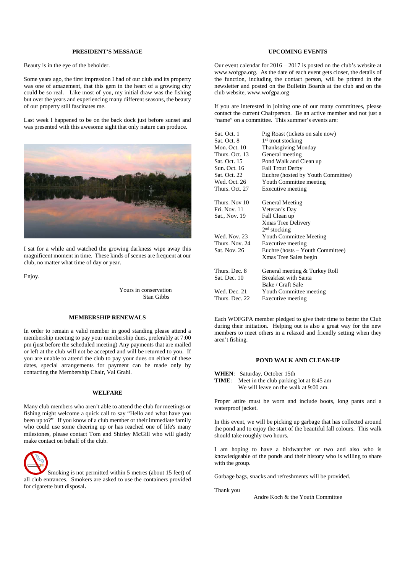### **PRESIDENT'S MESSAGE**

Beauty is in the eye of the beholder.

Some years ago, the first impression I had of our club and its property was one of amazement, that this gem in the heart of a growing city could be so real. Like most of you, my initial draw was the fishing but over the years and experiencing many different seasons, the beauty of our property still fascinates me.

Last week I happened to be on the back dock just before sunset and was presented with this awesome sight that only nature can produce.



I sat for a while and watched the growing darkness wipe away this magnificent moment in time. These kinds of scenes are frequent at our club, no matter what time of day or year.

Enjoy.

Yours in conservation Stan Gibbs

## **MEMBERSHIP RENEWALS**

In order to remain a valid member in good standing please attend a membership meeting to pay your membership dues, preferably at 7:00 pm (just before the scheduled meeting) Any payments that are mailed or left at the club will not be accepted and will be returned to you. If you are unable to attend the club to pay your dues on either of these dates, special arrangements for payment can be made only by contacting the Membership Chair, Val Grahl.

#### **WELFARE**

Many club members who aren't able to attend the club for meetings or fishing might welcome a quick call to say "Hello and what have you been up to?" If you know of a club member or their immediate family who could use some cheering up or has reached one of life's many milestones, please contact Tom and Shirley McGill who will gladly make contact on behalf of the club.



Smoking is not permitted within 5 metres (about 15 feet) of all club entrances. Smokers are asked to use the containers provided for cigarette butt disposal**.**

## **UPCOMING EVENTS**

Our event calendar for 2016 – 2017 is posted on the club's website at www.wofgpa.org. As the date of each event gets closer, the details of the function, including the contact person, will be printed in the newsletter and posted on the Bulletin Boards at the club and on the club website, www.wofgpa.org

If you are interested in joining one of our many committees, please contact the current Chairperson. Be an active member and not just a "name" on a committee. This summer's events are:

| Sat. Oct. 1    | Pig Roast (tickets on sale now)    |
|----------------|------------------------------------|
| Sat. Oct. 8    | 1 <sup>st</sup> trout stocking     |
| Mon. Oct. 10   | <b>Thanksgiving Monday</b>         |
| Thurs. Oct. 13 | General meeting                    |
| Sat. Oct. 15   | Pond Walk and Clean up             |
| Sun. Oct. 16   | <b>Fall Trout Derby</b>            |
| Sat. Oct. 22   | Euchre (hosted by Youth Committee) |
| Wed. Oct. 26   | Youth Committee meeting            |
| Thurs. Oct. 27 | Executive meeting                  |
| Thurs. Nov 10  | General Meeting                    |
| Fri. Nov. 11   | Veteran's Day                      |
| Sat., Nov. 19  | Fall Clean up                      |
|                | Xmas Tree Delivery                 |
|                | $2nd$ stocking                     |
| Wed. Nov. 23   | Youth Committee Meeting            |
| Thurs. Nov. 24 | Executive meeting                  |
| Sat. Nov. 26   | Euchre (hosts – Youth Committee)   |
|                | Xmas Tree Sales begin              |
| Thurs. Dec. 8  | General meeting & Turkey Roll      |
| Sat. Dec. 10   | <b>Breakfast with Santa</b>        |
|                | Bake / Craft Sale                  |
| Wed. Dec. 21   | Youth Committee meeting            |
| Thurs. Dec. 22 | Executive meeting                  |

Each WOFGPA member pledged to give their time to better the Club during their initiation. Helping out is also a great way for the new members to meet others in a relaxed and friendly setting when they aren't fishing.

#### **POND WALK AND CLEAN-UP**

- **WHEN**: Saturday, October 15th
- **TIME**: Meet in the club parking lot at 8:45 am We will leave on the walk at 9:00 am.

Proper attire must be worn and include boots, long pants and a waterproof jacket.

In this event, we will be picking up garbage that has collected around the pond and to enjoy the start of the beautiful fall colours. This walk should take roughly two hours.

I am hoping to have a birdwatcher or two and also who is knowledgeable of the ponds and their history who is willing to share with the group.

Garbage bags, snacks and refreshments will be provided.

Thank you

Andre Koch & the Youth Committee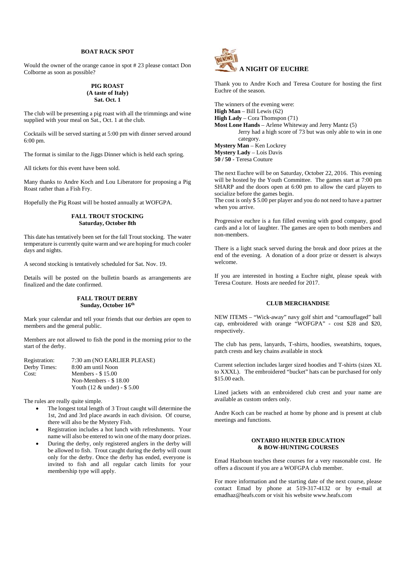## **BOAT RACK SPOT**

Would the owner of the orange canoe in spot # 23 please contact Don Colborne as soon as possible?

## **PIG ROAST (A taste of Italy) Sat. Oct. 1**

The club will be presenting a pig roast with all the trimmings and wine supplied with your meal on Sat., Oct. 1 at the club.

Cocktails will be served starting at 5:00 pm with dinner served around 6:00 pm.

The format is similar to the Jiggs Dinner which is held each spring.

All tickets for this event have been sold.

Many thanks to Andre Koch and Lou Liberatore for proposing a Pig Roast rather than a Fish Fry.

Hopefully the Pig Roast will be hosted annually at WOFGPA.

## **FALL TROUT STOCKING Saturday, October 8th**

This date has tentatively been set for the fall Trout stocking. The water temperature is currently quite warm and we are hoping for much cooler days and nights.

A second stocking is tentatively scheduled for Sat. Nov. 19.

Details will be posted on the bulletin boards as arrangements are finalized and the date confirmed.

## **FALL TROUT DERBY Sunday, October 16th**

Mark your calendar and tell your friends that our derbies are open to members and the general public.

Members are not allowed to fish the pond in the morning prior to the start of the derby.

| Registration: | 7:30 am (NO EARLIER PLEASE)    |
|---------------|--------------------------------|
| Derby Times:  | 8:00 am until Noon             |
| Cost:         | Members $-$ \$ 15.00           |
|               | Non-Members - \$18.00          |
|               | Youth $(12 \&$ under) - \$5.00 |

The rules are really quite simple.

- The longest total length of 3 Trout caught will determine the 1st, 2nd and 3rd place awards in each division. Of course, there will also be the Mystery Fish.
- Registration includes a hot lunch with refreshments. Your name will also be entered to win one of the many door prizes.
- During the derby, only registered anglers in the derby will be allowed to fish. Trout caught during the derby will count only for the derby. Once the derby has ended, everyone is invited to fish and all regular catch limits for your membership type will apply.



Thank you to Andre Koch and Teresa Couture for hosting the first Euchre of the season.

The winners of the evening were: **High Man** – Bill Lewis (62) **High Lady** – Cora Thomspon (71) **Most Lone Hands** – Arlene Whiteway and Jerry Mantz (5) Jerry had a high score of 73 but was only able to win in one category. **Mystery Man** – Ken Lockrey **Mystery Lady** – Lois Davis **50 / 50** - Teresa Couture

The next Euchre will be on Saturday, October 22, 2016. This evening will be hosted by the Youth Committee. The games start at 7:00 pm SHARP and the doors open at 6:00 pm to allow the card players to socialize before the games begin.

The cost is only \$ 5.00 per player and you do not need to have a partner when you arrive.

Progressive euchre is a fun filled evening with good company, good cards and a lot of laughter. The games are open to both members and non-members.

There is a light snack served during the break and door prizes at the end of the evening. A donation of a door prize or dessert is always welcome.

If you are interested in hosting a Euchre night, please speak with Teresa Couture. Hosts are needed for 2017.

# **CLUB MERCHANDISE**

NEW ITEMS – "Wick-away" navy golf shirt and "camouflaged" ball cap, embroidered with orange "WOFGPA" - cost \$28 and \$20, respectively.

The club has pens, lanyards, T-shirts, hoodies, sweatshirts, toques, patch crests and key chains available in stock

Current selection includes larger sized hoodies and T-shirts (sizes XL to XXXL). The embroidered "bucket" hats can be purchased for only \$15.00 each.

Lined jackets with an embroidered club crest and your name are available as custom orders only.

Andre Koch can be reached at home by phone and is present at club meetings and functions.

## **ONTARIO HUNTER EDUCATION & BOW-HUNTING COURSES**

Emad Hazboun teaches these courses for a very reasonable cost. He offers a discount if you are a WOFGPA club member.

For more information and the starting date of the next course, please contact Emad by phone at 519-317-4132 or by e-mail at emadhaz@heafs.com or visit his website www.heafs.com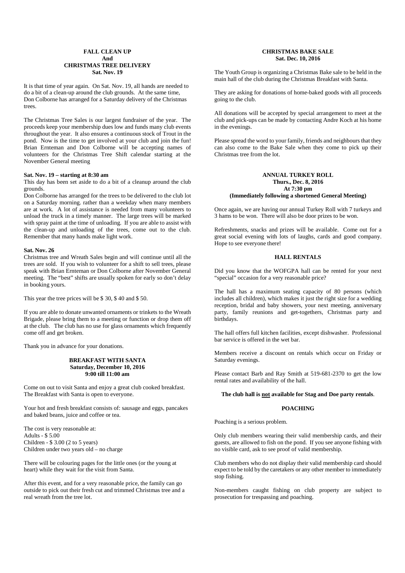#### **FALL CLEAN UP And CHRISTMAS TREE DELIVERY Sat. Nov. 19**

It is that time of year again. On Sat. Nov. 19, all hands are needed to do a bit of a clean-up around the club grounds. At the same time, Don Colborne has arranged for a Saturday delivery of the Christmas trees.

The Christmas Tree Sales is our largest fundraiser of the year. The proceeds keep your membership dues low and funds many club events throughout the year. It also ensures a continuous stock of Trout in the pond. Now is the time to get involved at your club and join the fun! Brian Ernteman and Don Colborne will be accepting names of volunteers for the Christmas Tree Shift calendar starting at the November General meeting

#### **Sat. Nov. 19 – starting at 8:30 am**

This day has been set aside to do a bit of a cleanup around the club grounds.

Don Colborne has arranged for the trees to be delivered to the club lot on a Saturday morning. rather than a weekday when many members are at work. A lot of assistance is needed from many volunteers to unload the truck in a timely manner. The large trees will be marked with spray paint at the time of unloading. If you are able to assist with the clean-up and unloading of the trees, come out to the club. Remember that many hands make light work.

#### **Sat. Nov. 26**

Christmas tree and Wreath Sales begin and will continue until all the trees are sold. If you wish to volunteer for a shift to sell trees, please speak with Brian Ernteman or Don Colborne after November General meeting. The "best" shifts are usually spoken for early so don't delay in booking yours.

This year the tree prices will be \$ 30, \$ 40 and \$ 50.

If you are able to donate unwanted ornaments or trinkets to the Wreath Brigade, please bring them to a meeting or function or drop them off at the club. The club has no use for glass ornaments which frequently come off and get broken.

Thank you in advance for your donations.

#### **BREAKFAST WITH SANTA Saturday, December 10, 2016 9:00 till 11:00 am**

Come on out to visit Santa and enjoy a great club cooked breakfast. The Breakfast with Santa is open to everyone.

Your hot and fresh breakfast consists of: sausage and eggs, pancakes and baked beans, juice and coffee or tea.

The cost is very reasonable at: Adults - \$ 5.00 Children - \$ 3.00 (2 to 5 years) Children under two years old – no charge

There will be colouring pages for the little ones (or the young at heart) while they wait for the visit from Santa.

After this event, and for a very reasonable price, the family can go outside to pick out their fresh cut and trimmed Christmas tree and a real wreath from the tree lot.

## **CHRISTMAS BAKE SALE Sat. Dec. 10, 2016**

The Youth Group is organizing a Christmas Bake sale to be held in the main hall of the club during the Christmas Breakfast with Santa.

They are asking for donations of home-baked goods with all proceeds going to the club.

All donations will be accepted by special arrangement to meet at the club and pick-ups can be made by contacting Andre Koch at his home in the evenings.

Please spread the word to your family, friends and neighbours that they can also come to the Bake Sale when they come to pick up their Christmas tree from the lot.

### **ANNUAL TURKEY ROLL Thurs., Dec. 8, 2016 At 7:30 pm (Immediately following a shortened General Meeting)**

Once again, we are having our annual Turkey Roll with 7 turkeys and 3 hams to be won. There will also be door prizes to be won.

Refreshments, snacks and prizes will be available. Come out for a great social evening with lots of laughs, cards and good company. Hope to see everyone there!

### **HALL RENTALS**

Did you know that the WOFGPA hall can be rented for your next "special" occasion for a very reasonable price?

The hall has a maximum seating capacity of 80 persons (which includes all children), which makes it just the right size for a wedding reception, bridal and baby showers, your next meeting, anniversary party, family reunions and get-togethers, Christmas party and birthdays.

The hall offers full kitchen facilities, except dishwasher. Professional bar service is offered in the wet bar.

Members receive a discount on rentals which occur on Friday or Saturday evenings.

Please contact Barb and Ray Smith at 519-681-2370 to get the low rental rates and availability of the hall.

#### **The club hall is not available for Stag and Doe party rentals**.

#### **POACHING**

Poaching is a serious problem.

Only club members wearing their valid membership cards, and their guests, are allowed to fish on the pond. If you see anyone fishing with no visible card, ask to see proof of valid membership.

Club members who do not display their valid membership card should expect to be told by the caretakers or any other member to immediately stop fishing.

Non-members caught fishing on club property are subject to prosecution for trespassing and poaching.